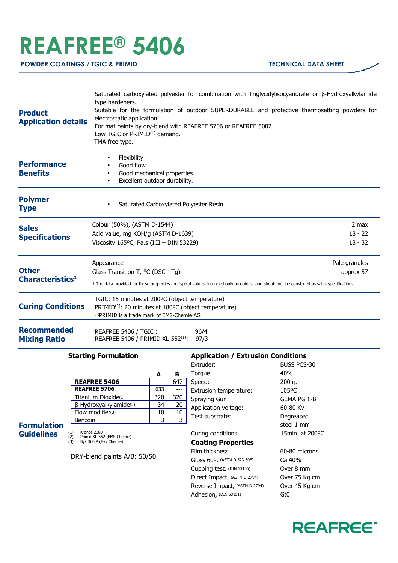## **REAFREE® 5406**

| <b>Product</b><br><b>Application details</b> | Saturated carboxylated polyester for combination with Triglycidylisocyanurate or $\beta$ -Hydroxyalkylamide<br>type hardeners.<br>Suitable for the formulation of outdoor SUPERDURABLE and protective thermosetting powders for<br>electrostatic application.<br>For mat paints by dry-blend with REAFREE 5706 or REAFREE 5002<br>Low TGIC or $PRIMID^{(1)}$ demand.<br>TMA free type. |                                 |  |
|----------------------------------------------|----------------------------------------------------------------------------------------------------------------------------------------------------------------------------------------------------------------------------------------------------------------------------------------------------------------------------------------------------------------------------------------|---------------------------------|--|
| <b>Performance</b><br><b>Benefits</b>        | <b>Flexibility</b><br>Good flow<br>Good mechanical properties.<br>$\bullet$<br>Excellent outdoor durability.<br>$\bullet$                                                                                                                                                                                                                                                              |                                 |  |
| <b>Polymer</b><br><b>Type</b>                | Saturated Carboxylated Polyester Resin<br>$\bullet$                                                                                                                                                                                                                                                                                                                                    |                                 |  |
| <b>Sales</b><br><b>Specifications</b>        | Colour (50%), (ASTM D-1544)<br>Acid value, mg KOH/g (ASTM D-1639)<br>Viscosity $165$ <sup>o</sup> C, Pa.s (ICI - DIN 53229)                                                                                                                                                                                                                                                            | 2 max<br>$18 - 22$<br>$18 - 32$ |  |
| <b>Other</b><br>Characteristics <sup>1</sup> | Appearance<br>Glass Transition T, <sup>o</sup> C (DSC - Tg)<br>1 The data provided for these properties are typical values, intended only as guides, and should not be construed as sales specifications                                                                                                                                                                               | Pale granules<br>approx 57      |  |
| <b>Curing Conditions</b>                     | TGIC: 15 minutes at 200°C (object temperature)<br>PRIMID <sup>(1)</sup> : 20 minutes at 180°C (object temperature)<br><sup>(1)</sup> PRIMID is a trade mark of EMS-Chemie AG                                                                                                                                                                                                           |                                 |  |
| <b>Recommended</b><br><b>Mixing Ratio</b>    | REAFREE 5406 / TGIC:<br>96/4<br>REAFREE 5406 / PRIMID XL-552 <sup>(1)</sup> :<br>97/3                                                                                                                                                                                                                                                                                                  |                                 |  |

## **Starting Formulation**

|                        | A   | в   |
|------------------------|-----|-----|
| <b>REAFREE 5406</b>    |     | 647 |
| <b>REAFREE 5706</b>    | 633 |     |
| Titanium Dioxide(1)    | 320 | 320 |
| β-Hydroxyalkylamide(2) | 34  | 20  |
| Flow modifier(3)       | 10  | 10  |
| Benzoin                |     |     |

**Formulation Guidelines**

(1) Kronos 2160 (2) Primid XL-552 (EMS Chemie) (3) Byk 360 P (Byk Chemie)

DRY-blend paints A/B: 50/50

## **Application / Extrusion Conditions**

| Extruder:                             | <b>BUSS PCS-30</b> |
|---------------------------------------|--------------------|
| Torque:                               | 40%                |
| Speed:                                | 200 rpm            |
| Extrusion temperature:                | 105°C              |
| Spraying Gun:                         | GEMA PG 1-B        |
| Application voltage:                  | 60-80 Kv           |
| Test substrate:                       | Degreased          |
|                                       | steel 1 mm         |
| Curing conditions:                    | 15min. at 200°C    |
| <b>Coating Properties</b>             |                    |
| Film thickness                        | 60-80 microns      |
| Gloss $60^{\circ}$ , (ASTM D-523-60E) | Ca 40%             |
| Cupping test, (DIN 53156)             | Over 8 mm          |
| Direct Impact, (ASTM D-2794)          | Over 75 Kg.cm      |
| Reverse Impact, (ASTM D-2794)         | Over 45 Kg.cm      |
| Adhesion, (DIN 53151)                 | Gt0                |
|                                       |                    |